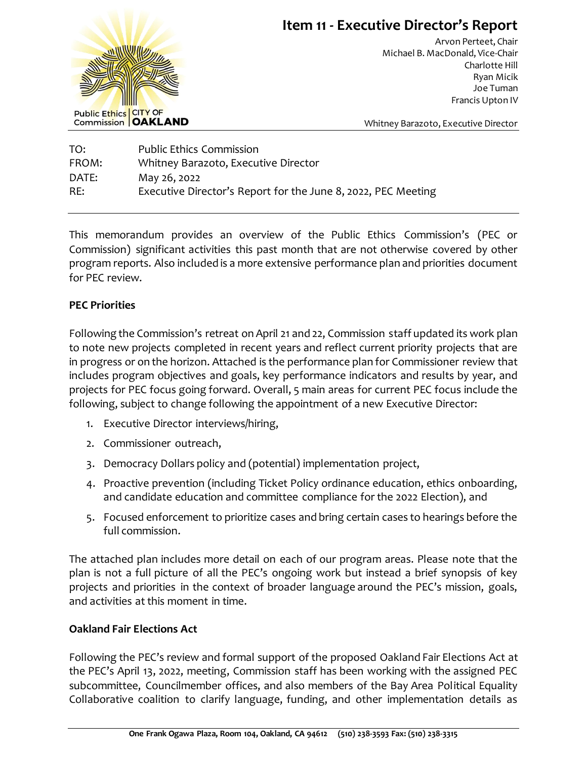

# **Item 11 - Executive Director's Report**

Arvon Perteet, Chair Michael B. MacDonald, Vice-Chair Charlotte Hill Ryan Micik Joe Tuman Francis Upton IV

Whitney Barazoto, Executive Director

| TO:   | <b>Public Ethics Commission</b>                               |
|-------|---------------------------------------------------------------|
| FROM: | Whitney Barazoto, Executive Director                          |
| DATE: | May 26, 2022                                                  |
| RE:   | Executive Director's Report for the June 8, 2022, PEC Meeting |

This memorandum provides an overview of the Public Ethics Commission's (PEC or Commission) significant activities this past month that are not otherwise covered by other program reports. Also included is a more extensive performance plan and priorities document for PEC review.

## **PEC Priorities**

Following the Commission's retreat on April 21 and 22, Commission staff updated its work plan to note new projects completed in recent years and reflect current priority projects that are in progress or on the horizon. Attached is the performance plan for Commissioner review that includes program objectives and goals, key performance indicators and results by year, and projects for PEC focus going forward. Overall, 5 main areas for current PEC focus include the following, subject to change following the appointment of a new Executive Director:

- 1. Executive Director interviews/hiring,
- 2. Commissioner outreach,
- 3. Democracy Dollars policy and (potential) implementation project,
- 4. Proactive prevention (including Ticket Policy ordinance education, ethics onboarding, and candidate education and committee compliance for the 2022 Election), and
- 5. Focused enforcement to prioritize cases and bring certain cases to hearings before the full commission.

The attached plan includes more detail on each of our program areas. Please note that the plan is not a full picture of all the PEC's ongoing work but instead a brief synopsis of key projects and priorities in the context of broader language around the PEC's mission, goals, and activities at this moment in time.

## **Oakland Fair Elections Act**

Following the PEC's review and formal support of the proposed Oakland Fair Elections Act at the PEC's April 13, 2022, meeting, Commission staff has been working with the assigned PEC subcommittee, Councilmember offices, and also members of the Bay Area Political Equality Collaborative coalition to clarify language, funding, and other implementation details as